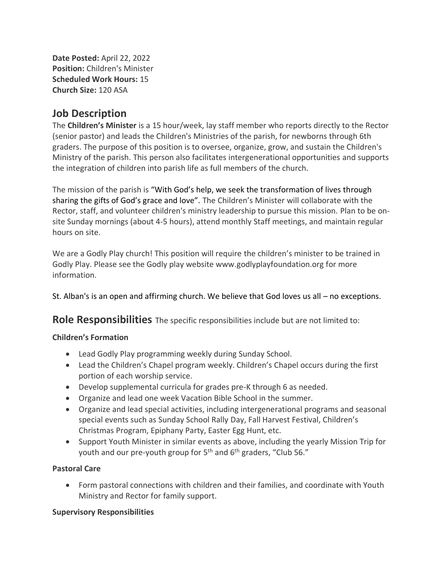**Date Posted:** April 22, 2022 **Position:** Children's Minister **Scheduled Work Hours:** 15 **Church Size:** 120 ASA

## **Job Description**

The **Children's Minister** is a 15 hour/week, lay staff member who reports directly to the Rector (senior pastor) and leads the Children's Ministries of the parish, for newborns through 6th graders. The purpose of this position is to oversee, organize, grow, and sustain the Children's Ministry of the parish. This person also facilitates intergenerational opportunities and supports the integration of children into parish life as full members of the church.

The mission of the parish is "With God's help, we seek the transformation of lives through sharing the gifts of God's grace and love". The Children's Minister will collaborate with the Rector, staff, and volunteer children's ministry leadership to pursue this mission. Plan to be onsite Sunday mornings (about 4-5 hours), attend monthly Staff meetings, and maintain regular hours on site.

We are a Godly Play church! This position will require the children's minister to be trained in Godly Play. Please see the Godly play website www.godlyplayfoundation.org for more information.

St. Alban's is an open and affirming church. We believe that God loves us all – no exceptions.

**Role Responsibilities** The specific responsibilities include but are not limited to:

#### **Children's Formation**

- Lead Godly Play programming weekly during Sunday School.
- Lead the Children's Chapel program weekly. Children's Chapel occurs during the first portion of each worship service.
- Develop supplemental curricula for grades pre-K through 6 as needed.
- Organize and lead one week Vacation Bible School in the summer.
- Organize and lead special activities, including intergenerational programs and seasonal special events such as Sunday School Rally Day, Fall Harvest Festival, Children's Christmas Program, Epiphany Party, Easter Egg Hunt, etc.
- Support Youth Minister in similar events as above, including the yearly Mission Trip for youth and our pre-youth group for  $5<sup>th</sup>$  and  $6<sup>th</sup>$  graders, "Club 56."

#### **Pastoral Care**

• Form pastoral connections with children and their families, and coordinate with Youth Ministry and Rector for family support.

#### **Supervisory Responsibilities**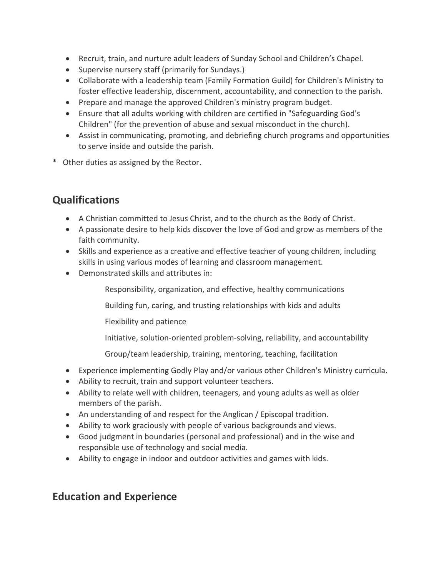- Recruit, train, and nurture adult leaders of Sunday School and Children's Chapel.
- Supervise nursery staff (primarily for Sundays.)
- Collaborate with a leadership team (Family Formation Guild) for Children's Ministry to foster effective leadership, discernment, accountability, and connection to the parish.
- Prepare and manage the approved Children's ministry program budget.
- Ensure that all adults working with children are certified in "Safeguarding God's Children" (for the prevention of abuse and sexual misconduct in the church).
- Assist in communicating, promoting, and debriefing church programs and opportunities to serve inside and outside the parish.
- \* Other duties as assigned by the Rector.

# **Qualifications**

- A Christian committed to Jesus Christ, and to the church as the Body of Christ.
- A passionate desire to help kids discover the love of God and grow as members of the faith community.
- Skills and experience as a creative and effective teacher of young children, including skills in using various modes of learning and classroom management.
- Demonstrated skills and attributes in:

Responsibility, organization, and effective, healthy communications

Building fun, caring, and trusting relationships with kids and adults

Flexibility and patience

Initiative, solution-oriented problem-solving, reliability, and accountability

Group/team leadership, training, mentoring, teaching, facilitation

- Experience implementing Godly Play and/or various other Children's Ministry curricula.
- Ability to recruit, train and support volunteer teachers.
- Ability to relate well with children, teenagers, and young adults as well as older members of the parish.
- An understanding of and respect for the Anglican / Episcopal tradition.
- Ability to work graciously with people of various backgrounds and views.
- Good judgment in boundaries (personal and professional) and in the wise and responsible use of technology and social media.
- Ability to engage in indoor and outdoor activities and games with kids.

# **Education and Experience**